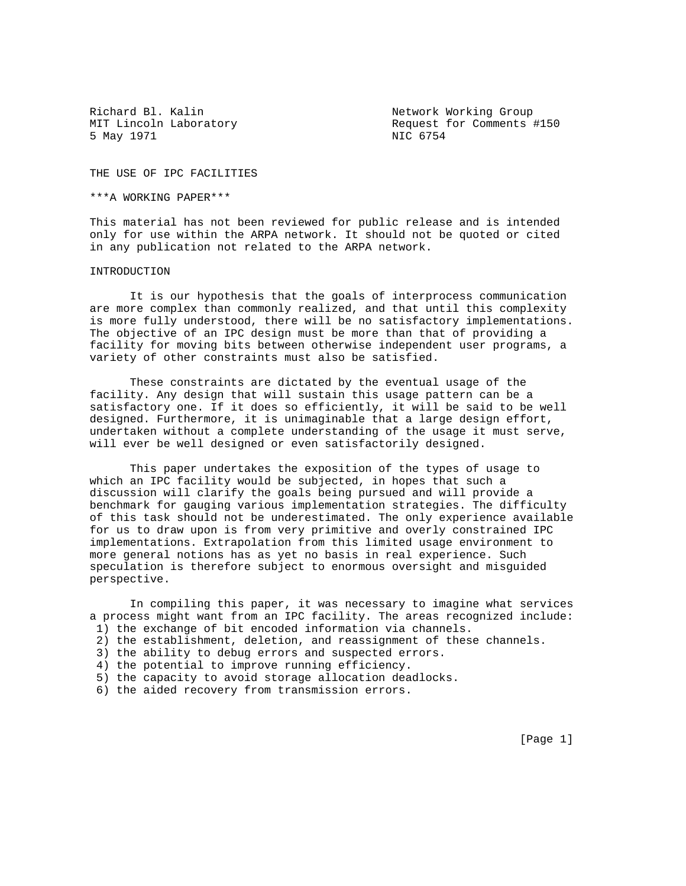Richard Bl. Kalin Network Working Group 5 May 1971 NIC 6754

MIT Lincoln Laboratory The Request for Comments #150

THE USE OF IPC FACILITIES

\*\*\*A WORKING PAPER\*\*\*

This material has not been reviewed for public release and is intended only for use within the ARPA network. It should not be quoted or cited in any publication not related to the ARPA network.

### INTRODUCTION

 It is our hypothesis that the goals of interprocess communication are more complex than commonly realized, and that until this complexity is more fully understood, there will be no satisfactory implementations. The objective of an IPC design must be more than that of providing a facility for moving bits between otherwise independent user programs, a variety of other constraints must also be satisfied.

 These constraints are dictated by the eventual usage of the facility. Any design that will sustain this usage pattern can be a satisfactory one. If it does so efficiently, it will be said to be well designed. Furthermore, it is unimaginable that a large design effort, undertaken without a complete understanding of the usage it must serve, will ever be well designed or even satisfactorily designed.

 This paper undertakes the exposition of the types of usage to which an IPC facility would be subjected, in hopes that such a discussion will clarify the goals being pursued and will provide a benchmark for gauging various implementation strategies. The difficulty of this task should not be underestimated. The only experience available for us to draw upon is from very primitive and overly constrained IPC implementations. Extrapolation from this limited usage environment to more general notions has as yet no basis in real experience. Such speculation is therefore subject to enormous oversight and misguided perspective.

 In compiling this paper, it was necessary to imagine what services a process might want from an IPC facility. The areas recognized include: 1) the exchange of bit encoded information via channels.

- 2) the establishment, deletion, and reassignment of these channels.
- 3) the ability to debug errors and suspected errors.
- 4) the potential to improve running efficiency.
- 5) the capacity to avoid storage allocation deadlocks.
- 6) the aided recovery from transmission errors.

[Page 1]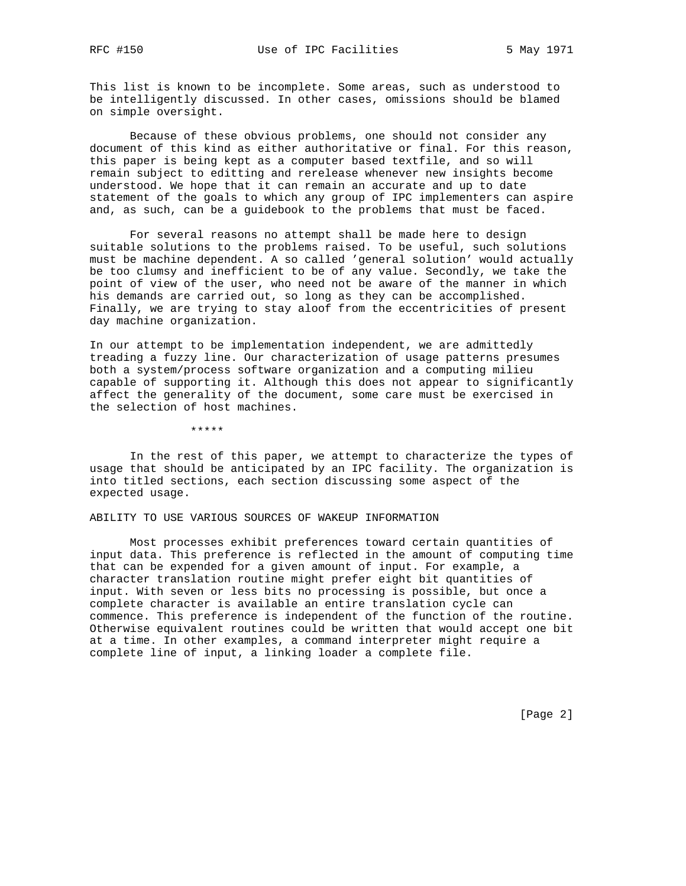This list is known to be incomplete. Some areas, such as understood to be intelligently discussed. In other cases, omissions should be blamed on simple oversight.

 Because of these obvious problems, one should not consider any document of this kind as either authoritative or final. For this reason, this paper is being kept as a computer based textfile, and so will remain subject to editting and rerelease whenever new insights become understood. We hope that it can remain an accurate and up to date statement of the goals to which any group of IPC implementers can aspire and, as such, can be a guidebook to the problems that must be faced.

 For several reasons no attempt shall be made here to design suitable solutions to the problems raised. To be useful, such solutions must be machine dependent. A so called 'general solution' would actually be too clumsy and inefficient to be of any value. Secondly, we take the point of view of the user, who need not be aware of the manner in which his demands are carried out, so long as they can be accomplished. Finally, we are trying to stay aloof from the eccentricities of present day machine organization.

In our attempt to be implementation independent, we are admittedly treading a fuzzy line. Our characterization of usage patterns presumes both a system/process software organization and a computing milieu capable of supporting it. Although this does not appear to significantly affect the generality of the document, some care must be exercised in the selection of host machines.

\*\*\*\*\*

 In the rest of this paper, we attempt to characterize the types of usage that should be anticipated by an IPC facility. The organization is into titled sections, each section discussing some aspect of the expected usage.

ABILITY TO USE VARIOUS SOURCES OF WAKEUP INFORMATION

 Most processes exhibit preferences toward certain quantities of input data. This preference is reflected in the amount of computing time that can be expended for a given amount of input. For example, a character translation routine might prefer eight bit quantities of input. With seven or less bits no processing is possible, but once a complete character is available an entire translation cycle can commence. This preference is independent of the function of the routine. Otherwise equivalent routines could be written that would accept one bit at a time. In other examples, a command interpreter might require a complete line of input, a linking loader a complete file.

[Page 2]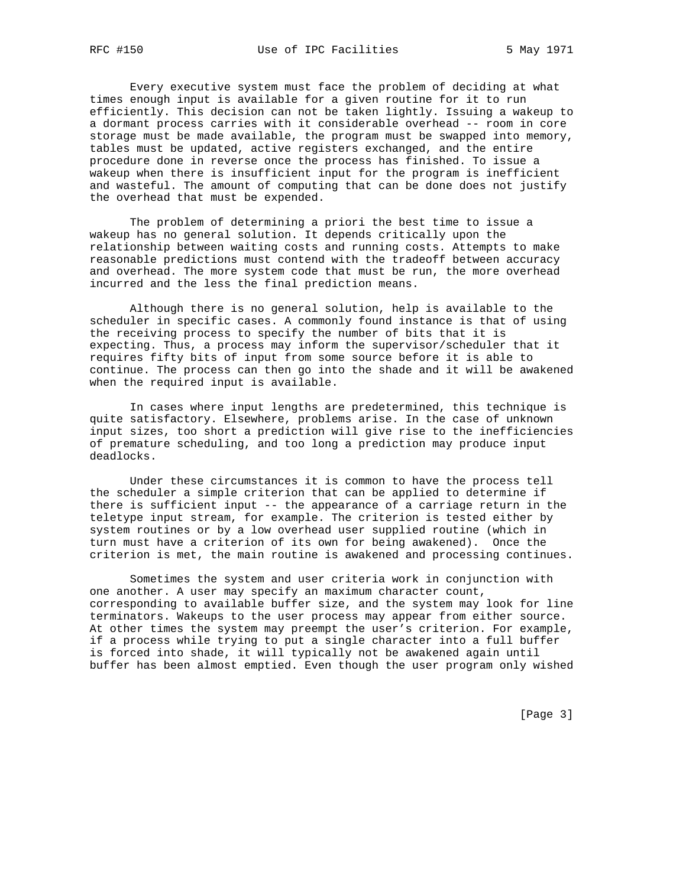Every executive system must face the problem of deciding at what times enough input is available for a given routine for it to run efficiently. This decision can not be taken lightly. Issuing a wakeup to a dormant process carries with it considerable overhead -- room in core storage must be made available, the program must be swapped into memory, tables must be updated, active registers exchanged, and the entire procedure done in reverse once the process has finished. To issue a wakeup when there is insufficient input for the program is inefficient and wasteful. The amount of computing that can be done does not justify the overhead that must be expended.

 The problem of determining a priori the best time to issue a wakeup has no general solution. It depends critically upon the relationship between waiting costs and running costs. Attempts to make reasonable predictions must contend with the tradeoff between accuracy and overhead. The more system code that must be run, the more overhead incurred and the less the final prediction means.

 Although there is no general solution, help is available to the scheduler in specific cases. A commonly found instance is that of using the receiving process to specify the number of bits that it is expecting. Thus, a process may inform the supervisor/scheduler that it requires fifty bits of input from some source before it is able to continue. The process can then go into the shade and it will be awakened when the required input is available.

 In cases where input lengths are predetermined, this technique is quite satisfactory. Elsewhere, problems arise. In the case of unknown input sizes, too short a prediction will give rise to the inefficiencies of premature scheduling, and too long a prediction may produce input deadlocks.

 Under these circumstances it is common to have the process tell the scheduler a simple criterion that can be applied to determine if there is sufficient input -- the appearance of a carriage return in the teletype input stream, for example. The criterion is tested either by system routines or by a low overhead user supplied routine (which in turn must have a criterion of its own for being awakened). Once the criterion is met, the main routine is awakened and processing continues.

 Sometimes the system and user criteria work in conjunction with one another. A user may specify an maximum character count, corresponding to available buffer size, and the system may look for line terminators. Wakeups to the user process may appear from either source. At other times the system may preempt the user's criterion. For example, if a process while trying to put a single character into a full buffer is forced into shade, it will typically not be awakened again until buffer has been almost emptied. Even though the user program only wished

[Page 3]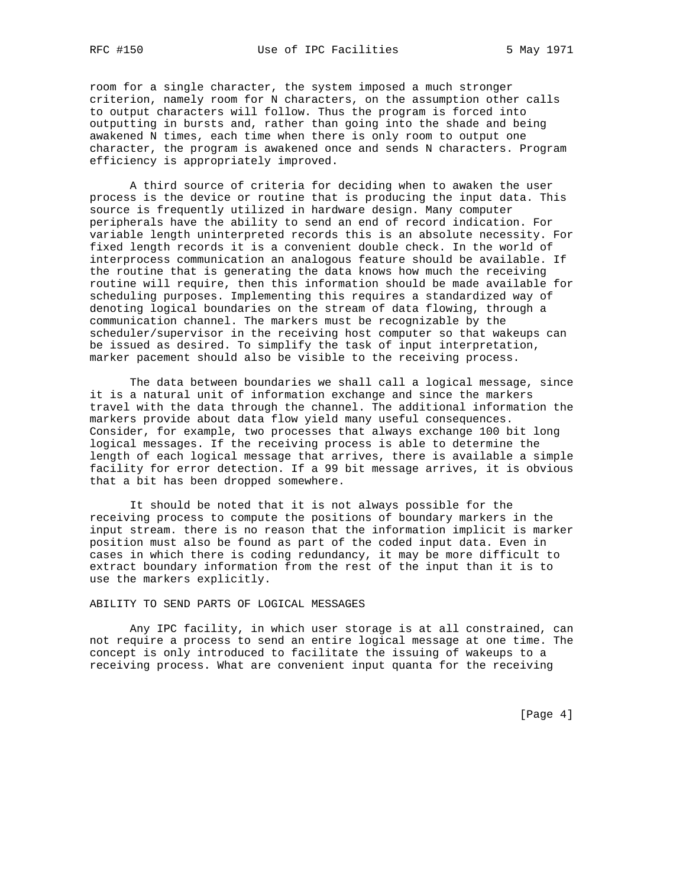room for a single character, the system imposed a much stronger criterion, namely room for N characters, on the assumption other calls to output characters will follow. Thus the program is forced into outputting in bursts and, rather than going into the shade and being awakened N times, each time when there is only room to output one character, the program is awakened once and sends N characters. Program efficiency is appropriately improved.

 A third source of criteria for deciding when to awaken the user process is the device or routine that is producing the input data. This source is frequently utilized in hardware design. Many computer peripherals have the ability to send an end of record indication. For variable length uninterpreted records this is an absolute necessity. For fixed length records it is a convenient double check. In the world of interprocess communication an analogous feature should be available. If the routine that is generating the data knows how much the receiving routine will require, then this information should be made available for scheduling purposes. Implementing this requires a standardized way of denoting logical boundaries on the stream of data flowing, through a communication channel. The markers must be recognizable by the scheduler/supervisor in the receiving host computer so that wakeups can be issued as desired. To simplify the task of input interpretation, marker pacement should also be visible to the receiving process.

 The data between boundaries we shall call a logical message, since it is a natural unit of information exchange and since the markers travel with the data through the channel. The additional information the markers provide about data flow yield many useful consequences. Consider, for example, two processes that always exchange 100 bit long logical messages. If the receiving process is able to determine the length of each logical message that arrives, there is available a simple facility for error detection. If a 99 bit message arrives, it is obvious that a bit has been dropped somewhere.

 It should be noted that it is not always possible for the receiving process to compute the positions of boundary markers in the input stream. there is no reason that the information implicit is marker position must also be found as part of the coded input data. Even in cases in which there is coding redundancy, it may be more difficult to extract boundary information from the rest of the input than it is to use the markers explicitly.

# ABILITY TO SEND PARTS OF LOGICAL MESSAGES

 Any IPC facility, in which user storage is at all constrained, can not require a process to send an entire logical message at one time. The concept is only introduced to facilitate the issuing of wakeups to a receiving process. What are convenient input quanta for the receiving

[Page 4]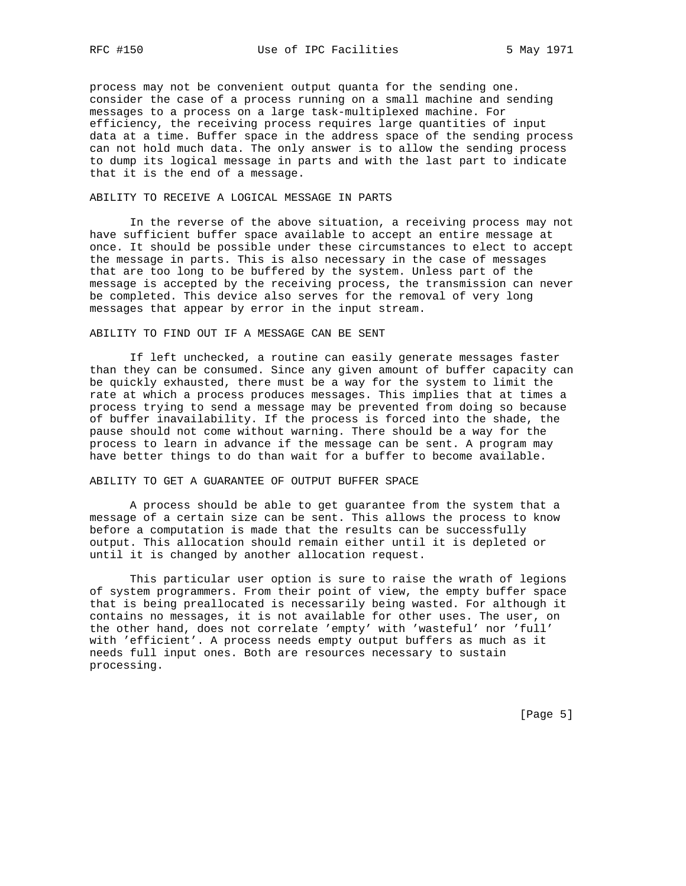process may not be convenient output quanta for the sending one. consider the case of a process running on a small machine and sending messages to a process on a large task-multiplexed machine. For efficiency, the receiving process requires large quantities of input data at a time. Buffer space in the address space of the sending process can not hold much data. The only answer is to allow the sending process to dump its logical message in parts and with the last part to indicate that it is the end of a message.

### ABILITY TO RECEIVE A LOGICAL MESSAGE IN PARTS

 In the reverse of the above situation, a receiving process may not have sufficient buffer space available to accept an entire message at once. It should be possible under these circumstances to elect to accept the message in parts. This is also necessary in the case of messages that are too long to be buffered by the system. Unless part of the message is accepted by the receiving process, the transmission can never be completed. This device also serves for the removal of very long messages that appear by error in the input stream.

#### ABILITY TO FIND OUT IF A MESSAGE CAN BE SENT

 If left unchecked, a routine can easily generate messages faster than they can be consumed. Since any given amount of buffer capacity can be quickly exhausted, there must be a way for the system to limit the rate at which a process produces messages. This implies that at times a process trying to send a message may be prevented from doing so because of buffer inavailability. If the process is forced into the shade, the pause should not come without warning. There should be a way for the process to learn in advance if the message can be sent. A program may have better things to do than wait for a buffer to become available.

#### ABILITY TO GET A GUARANTEE OF OUTPUT BUFFER SPACE

 A process should be able to get guarantee from the system that a message of a certain size can be sent. This allows the process to know before a computation is made that the results can be successfully output. This allocation should remain either until it is depleted or until it is changed by another allocation request.

 This particular user option is sure to raise the wrath of legions of system programmers. From their point of view, the empty buffer space that is being preallocated is necessarily being wasted. For although it contains no messages, it is not available for other uses. The user, on the other hand, does not correlate 'empty' with 'wasteful' nor 'full' with 'efficient'. A process needs empty output buffers as much as it needs full input ones. Both are resources necessary to sustain processing.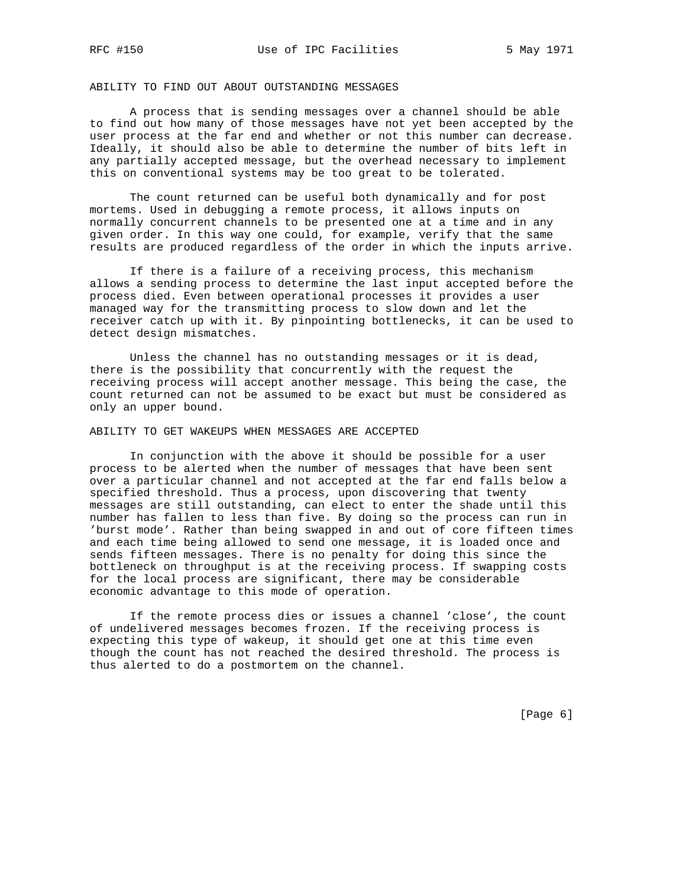# ABILITY TO FIND OUT ABOUT OUTSTANDING MESSAGES

 A process that is sending messages over a channel should be able to find out how many of those messages have not yet been accepted by the user process at the far end and whether or not this number can decrease. Ideally, it should also be able to determine the number of bits left in any partially accepted message, but the overhead necessary to implement this on conventional systems may be too great to be tolerated.

 The count returned can be useful both dynamically and for post mortems. Used in debugging a remote process, it allows inputs on normally concurrent channels to be presented one at a time and in any given order. In this way one could, for example, verify that the same results are produced regardless of the order in which the inputs arrive.

 If there is a failure of a receiving process, this mechanism allows a sending process to determine the last input accepted before the process died. Even between operational processes it provides a user managed way for the transmitting process to slow down and let the receiver catch up with it. By pinpointing bottlenecks, it can be used to detect design mismatches.

 Unless the channel has no outstanding messages or it is dead, there is the possibility that concurrently with the request the receiving process will accept another message. This being the case, the count returned can not be assumed to be exact but must be considered as only an upper bound.

### ABILITY TO GET WAKEUPS WHEN MESSAGES ARE ACCEPTED

 In conjunction with the above it should be possible for a user process to be alerted when the number of messages that have been sent over a particular channel and not accepted at the far end falls below a specified threshold. Thus a process, upon discovering that twenty messages are still outstanding, can elect to enter the shade until this number has fallen to less than five. By doing so the process can run in 'burst mode'. Rather than being swapped in and out of core fifteen times and each time being allowed to send one message, it is loaded once and sends fifteen messages. There is no penalty for doing this since the bottleneck on throughput is at the receiving process. If swapping costs for the local process are significant, there may be considerable economic advantage to this mode of operation.

 If the remote process dies or issues a channel 'close', the count of undelivered messages becomes frozen. If the receiving process is expecting this type of wakeup, it should get one at this time even though the count has not reached the desired threshold. The process is thus alerted to do a postmortem on the channel.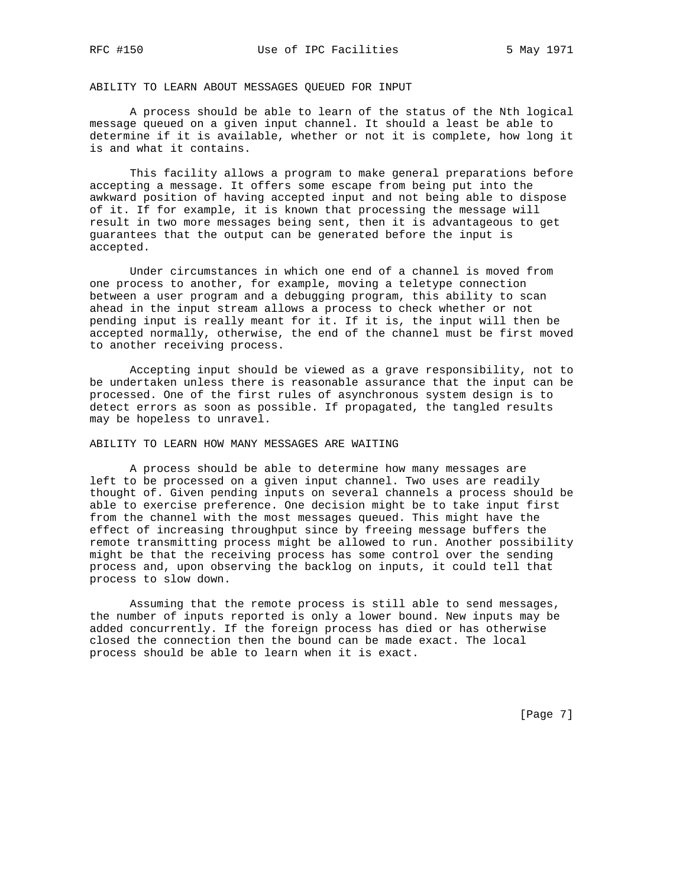ABILITY TO LEARN ABOUT MESSAGES QUEUED FOR INPUT

 A process should be able to learn of the status of the Nth logical message queued on a given input channel. It should a least be able to determine if it is available, whether or not it is complete, how long it is and what it contains.

 This facility allows a program to make general preparations before accepting a message. It offers some escape from being put into the awkward position of having accepted input and not being able to dispose of it. If for example, it is known that processing the message will result in two more messages being sent, then it is advantageous to get guarantees that the output can be generated before the input is accepted.

 Under circumstances in which one end of a channel is moved from one process to another, for example, moving a teletype connection between a user program and a debugging program, this ability to scan ahead in the input stream allows a process to check whether or not pending input is really meant for it. If it is, the input will then be accepted normally, otherwise, the end of the channel must be first moved to another receiving process.

 Accepting input should be viewed as a grave responsibility, not to be undertaken unless there is reasonable assurance that the input can be processed. One of the first rules of asynchronous system design is to detect errors as soon as possible. If propagated, the tangled results may be hopeless to unravel.

ABILITY TO LEARN HOW MANY MESSAGES ARE WAITING

 A process should be able to determine how many messages are left to be processed on a given input channel. Two uses are readily thought of. Given pending inputs on several channels a process should be able to exercise preference. One decision might be to take input first from the channel with the most messages queued. This might have the effect of increasing throughput since by freeing message buffers the remote transmitting process might be allowed to run. Another possibility might be that the receiving process has some control over the sending process and, upon observing the backlog on inputs, it could tell that process to slow down.

 Assuming that the remote process is still able to send messages, the number of inputs reported is only a lower bound. New inputs may be added concurrently. If the foreign process has died or has otherwise closed the connection then the bound can be made exact. The local process should be able to learn when it is exact.

[Page 7]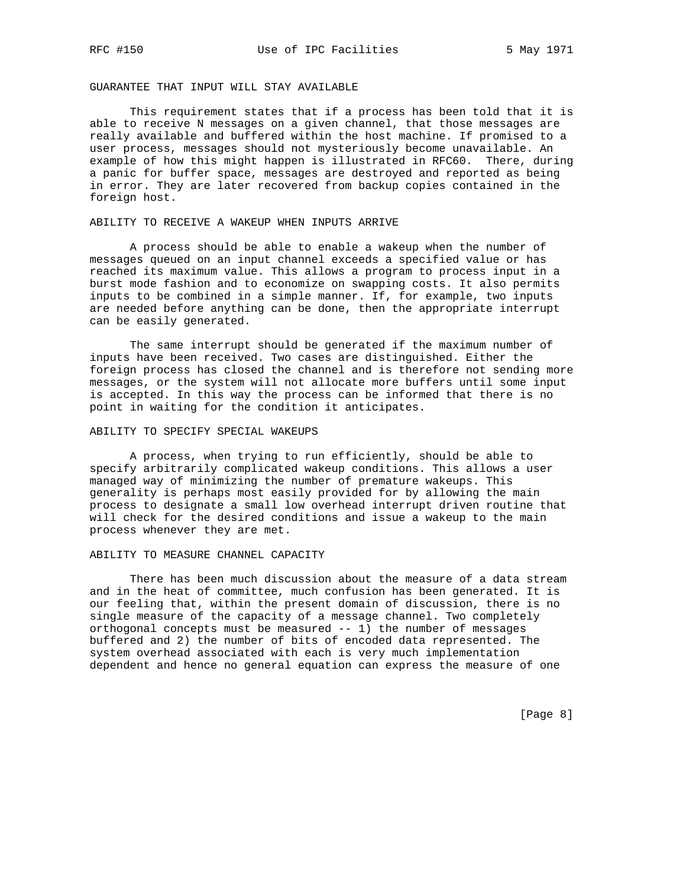# GUARANTEE THAT INPUT WILL STAY AVAILABLE

 This requirement states that if a process has been told that it is able to receive N messages on a given channel, that those messages are really available and buffered within the host machine. If promised to a user process, messages should not mysteriously become unavailable. An example of how this might happen is illustrated in RFC60. There, during a panic for buffer space, messages are destroyed and reported as being in error. They are later recovered from backup copies contained in the foreign host.

# ABILITY TO RECEIVE A WAKEUP WHEN INPUTS ARRIVE

 A process should be able to enable a wakeup when the number of messages queued on an input channel exceeds a specified value or has reached its maximum value. This allows a program to process input in a burst mode fashion and to economize on swapping costs. It also permits inputs to be combined in a simple manner. If, for example, two inputs are needed before anything can be done, then the appropriate interrupt can be easily generated.

 The same interrupt should be generated if the maximum number of inputs have been received. Two cases are distinguished. Either the foreign process has closed the channel and is therefore not sending more messages, or the system will not allocate more buffers until some input is accepted. In this way the process can be informed that there is no point in waiting for the condition it anticipates.

# ABILITY TO SPECIFY SPECIAL WAKEUPS

 A process, when trying to run efficiently, should be able to specify arbitrarily complicated wakeup conditions. This allows a user managed way of minimizing the number of premature wakeups. This generality is perhaps most easily provided for by allowing the main process to designate a small low overhead interrupt driven routine that will check for the desired conditions and issue a wakeup to the main process whenever they are met.

#### ABILITY TO MEASURE CHANNEL CAPACITY

 There has been much discussion about the measure of a data stream and in the heat of committee, much confusion has been generated. It is our feeling that, within the present domain of discussion, there is no single measure of the capacity of a message channel. Two completely orthogonal concepts must be measured -- 1) the number of messages buffered and 2) the number of bits of encoded data represented. The system overhead associated with each is very much implementation dependent and hence no general equation can express the measure of one

[Page 8]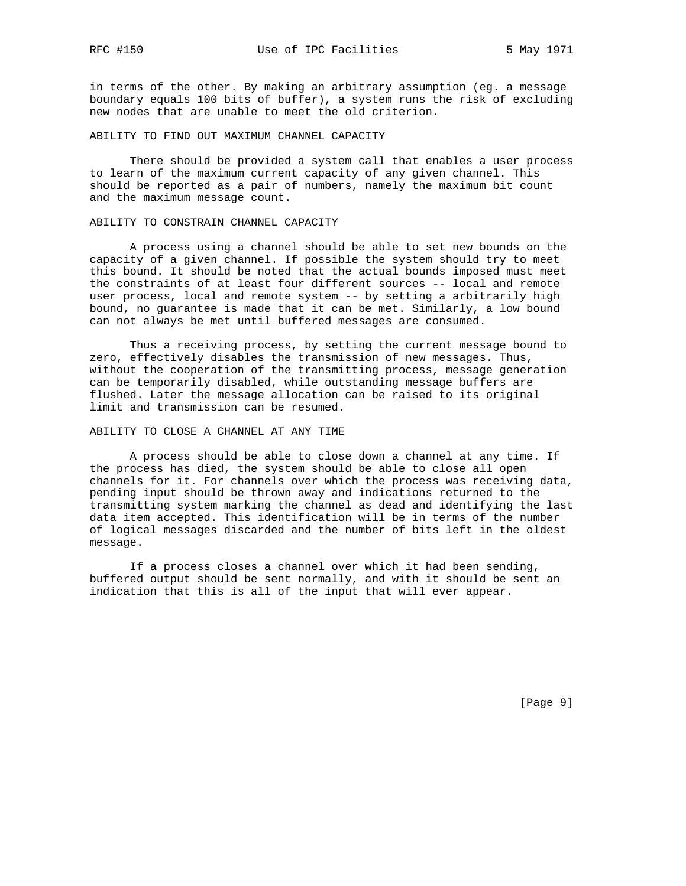in terms of the other. By making an arbitrary assumption (eg. a message boundary equals 100 bits of buffer), a system runs the risk of excluding new nodes that are unable to meet the old criterion.

ABILITY TO FIND OUT MAXIMUM CHANNEL CAPACITY

 There should be provided a system call that enables a user process to learn of the maximum current capacity of any given channel. This should be reported as a pair of numbers, namely the maximum bit count and the maximum message count.

#### ABILITY TO CONSTRAIN CHANNEL CAPACITY

 A process using a channel should be able to set new bounds on the capacity of a given channel. If possible the system should try to meet this bound. It should be noted that the actual bounds imposed must meet the constraints of at least four different sources -- local and remote user process, local and remote system -- by setting a arbitrarily high bound, no guarantee is made that it can be met. Similarly, a low bound can not always be met until buffered messages are consumed.

 Thus a receiving process, by setting the current message bound to zero, effectively disables the transmission of new messages. Thus, without the cooperation of the transmitting process, message generation can be temporarily disabled, while outstanding message buffers are flushed. Later the message allocation can be raised to its original limit and transmission can be resumed.

# ABILITY TO CLOSE A CHANNEL AT ANY TIME

 A process should be able to close down a channel at any time. If the process has died, the system should be able to close all open channels for it. For channels over which the process was receiving data, pending input should be thrown away and indications returned to the transmitting system marking the channel as dead and identifying the last data item accepted. This identification will be in terms of the number of logical messages discarded and the number of bits left in the oldest message.

 If a process closes a channel over which it had been sending, buffered output should be sent normally, and with it should be sent an indication that this is all of the input that will ever appear.

[Page 9]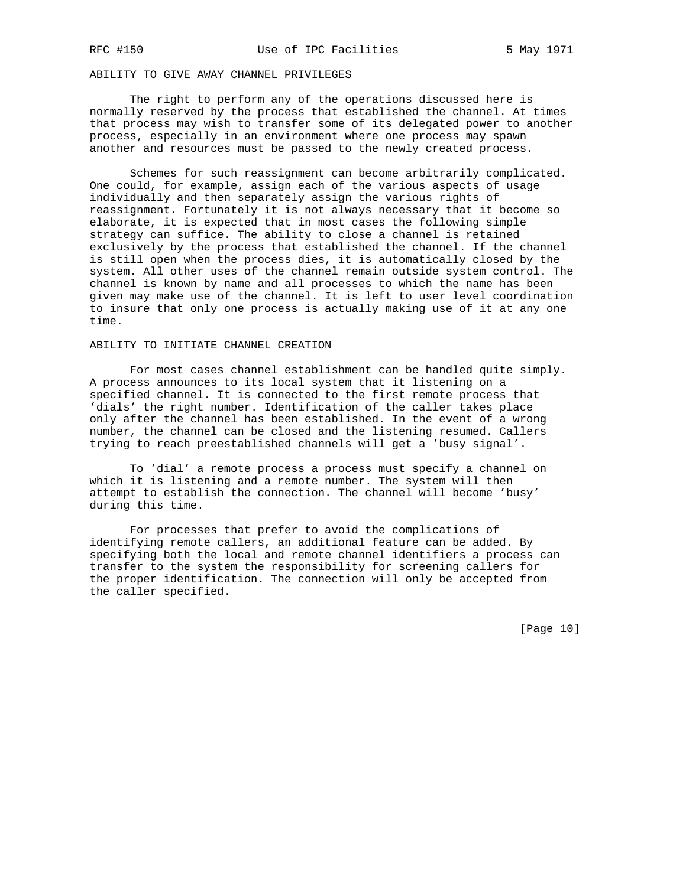# ABILITY TO GIVE AWAY CHANNEL PRIVILEGES

 The right to perform any of the operations discussed here is normally reserved by the process that established the channel. At times that process may wish to transfer some of its delegated power to another process, especially in an environment where one process may spawn another and resources must be passed to the newly created process.

 Schemes for such reassignment can become arbitrarily complicated. One could, for example, assign each of the various aspects of usage individually and then separately assign the various rights of reassignment. Fortunately it is not always necessary that it become so elaborate, it is expected that in most cases the following simple strategy can suffice. The ability to close a channel is retained exclusively by the process that established the channel. If the channel is still open when the process dies, it is automatically closed by the system. All other uses of the channel remain outside system control. The channel is known by name and all processes to which the name has been given may make use of the channel. It is left to user level coordination to insure that only one process is actually making use of it at any one time.

### ABILITY TO INITIATE CHANNEL CREATION

 For most cases channel establishment can be handled quite simply. A process announces to its local system that it listening on a specified channel. It is connected to the first remote process that 'dials' the right number. Identification of the caller takes place only after the channel has been established. In the event of a wrong number, the channel can be closed and the listening resumed. Callers trying to reach preestablished channels will get a 'busy signal'.

 To 'dial' a remote process a process must specify a channel on which it is listening and a remote number. The system will then attempt to establish the connection. The channel will become 'busy' during this time.

 For processes that prefer to avoid the complications of identifying remote callers, an additional feature can be added. By specifying both the local and remote channel identifiers a process can transfer to the system the responsibility for screening callers for the proper identification. The connection will only be accepted from the caller specified.

[Page 10]